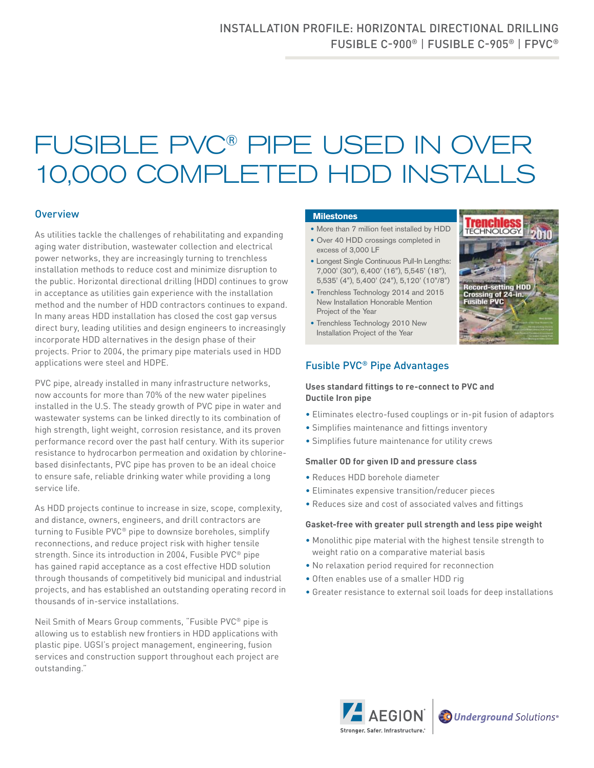# FUSIBLE PVC® PIPE USED IN OVER 10,000 COMPLETED HDD INSTALLS

### **Overview**

As utilities tackle the challenges of rehabilitating and expanding aging water distribution, wastewater collection and electrical power networks, they are increasingly turning to trenchless installation methods to reduce cost and minimize disruption to the public. Horizontal directional drilling (HDD) continues to grow in acceptance as utilities gain experience with the installation method and the number of HDD contractors continues to expand. In many areas HDD installation has closed the cost gap versus direct bury, leading utilities and design engineers to increasingly incorporate HDD alternatives in the design phase of their projects. Prior to 2004, the primary pipe materials used in HDD applications were steel and HDPE.

PVC pipe, already installed in many infrastructure networks, now accounts for more than 70% of the new water pipelines installed in the U.S. The steady growth of PVC pipe in water and wastewater systems can be linked directly to its combination of high strength, light weight, corrosion resistance, and its proven performance record over the past half century. With its superior resistance to hydrocarbon permeation and oxidation by chlorinebased disinfectants, PVC pipe has proven to be an ideal choice to ensure safe, reliable drinking water while providing a long service life.

As HDD projects continue to increase in size, scope, complexity, and distance, owners, engineers, and drill contractors are turning to Fusible PVC® pipe to downsize boreholes, simplify reconnections, and reduce project risk with higher tensile strength. Since its introduction in 2004, Fusible PVC® pipe has gained rapid acceptance as a cost effective HDD solution through thousands of competitively bid municipal and industrial projects, and has established an outstanding operating record in thousands of in-service installations.

Neil Smith of Mears Group comments, "Fusible PVC® pipe is allowing us to establish new frontiers in HDD applications with plastic pipe. UGSI's project management, engineering, fusion services and construction support throughout each project are outstanding."

#### **Milestones**

- More than 7 million feet installed by HDD
- Over 40 HDD crossings completed in excess of 3,000 LF
- Longest Single Continuous Pull-In Lengths: 7,000' (30"), 6,400' (16"), 5,545' (18"), 5,535' (4"), 5,400' (24"), 5,120' (10"/8")
- Trenchless Technology 2014 and 2015 New Installation Honorable Mention Project of the Year
- Trenchless Technology 2010 New Installation Project of the Year



## Fusible PVC® Pipe Advantages

#### **Uses standard fittings to re-connect to PVC and Ductile Iron pipe**

- Eliminates electro-fused couplings or in-pit fusion of adaptors
- Simplifies maintenance and fittings inventory
- Simplifies future maintenance for utility crews

#### **Smaller OD for given ID and pressure class**

- Reduces HDD borehole diameter
- Eliminates expensive transition/reducer pieces
- Reduces size and cost of associated valves and fittings

#### **Gasket-free with greater pull strength and less pipe weight**

- Monolithic pipe material with the highest tensile strength to weight ratio on a comparative material basis
- No relaxation period required for reconnection
- Often enables use of a smaller HDD rig
- Greater resistance to external soil loads for deep installations



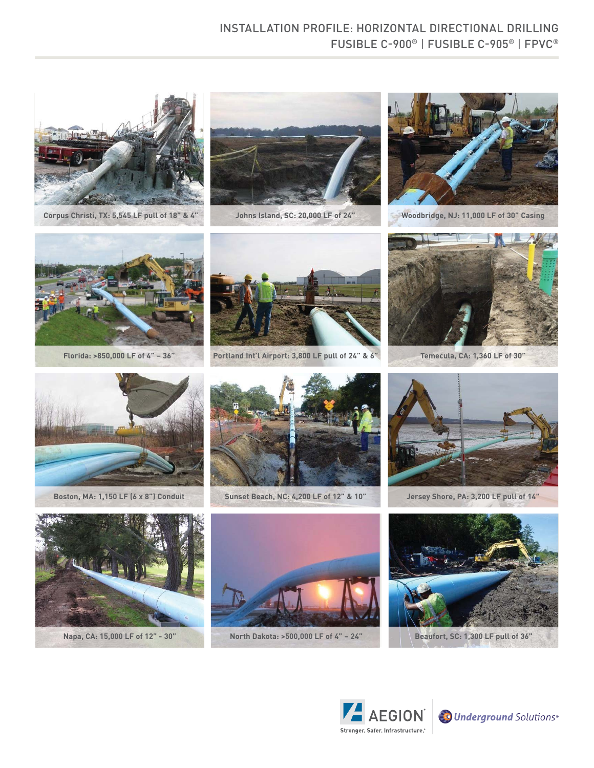# INSTALLATION PROFILE: HORIZONTAL DIRECTIONAL DRILLING FUSIBLE C-900® | FUSIBLE C-905® | FPVC®



 **Corpus Christi, TX: 5,545 LF pull of 18" & 4" Johns Island, SC: 20,000 LF of 24" Woodbridge, NJ: 11,000 LF of 30" Casing**









**Florida: >850,000 LF of 4" – 36" Portland Int'l Airport: 3,800 LF pull of 24" & 6" Temecula, CA: 1,360 LF of 30"** 







**Boston, MA: 1,150 LF (6 x 8") Conduit Sunset Beach, NC: 4,200 LF of 12" & 10" Jersey Shore, PA: 3,200 LF pull of 14"**









**Napa, CA: 15,000 LF of 12" - 30" North Dakota: >500,000 LF of 4" – 24" Beaufort, SC: 1,300 LF pull of 36"**